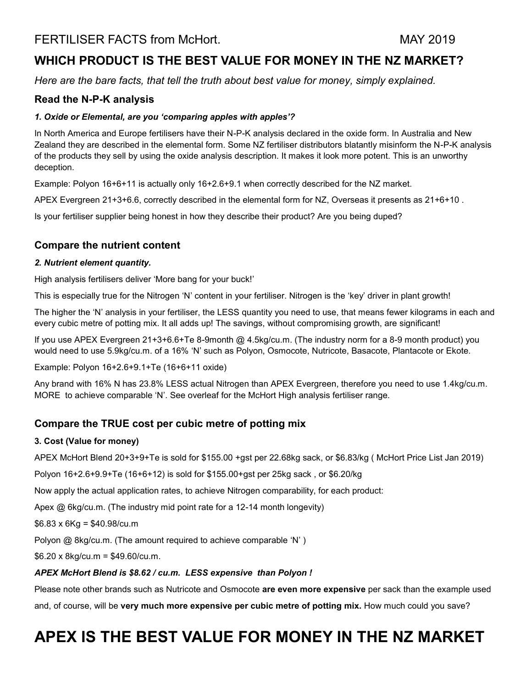## **WHICH PRODUCT IS THE BEST VALUE FOR MONEY IN THE NZ MARKET?**

*Here are the bare facts, that tell the truth about best value for money, simply explained.*

## **Read the N-P-K analysis**

## *1. Oxide or Elemental, are you 'comparing apples with apples'?*

In North America and Europe fertilisers have their N-P-K analysis declared in the oxide form. In Australia and New Zealand they are described in the elemental form. Some NZ fertiliser distributors blatantly misinform the N-P-K analysis of the products they sell by using the oxide analysis description. It makes it look more potent. This is an unworthy deception.

Example: Polyon 16+6+11 is actually only 16+2.6+9.1 when correctly described for the NZ market.

APEX Evergreen 21+3+6.6, correctly described in the elemental form for NZ, Overseas it presents as 21+6+10 .

Is your fertiliser supplier being honest in how they describe their product? Are you being duped?

## **Compare the nutrient content**

## *2. Nutrient element quantity.*

High analysis fertilisers deliver 'More bang for your buck!'

This is especially true for the Nitrogen 'N' content in your fertiliser. Nitrogen is the 'key' driver in plant growth!

The higher the 'N' analysis in your fertiliser, the LESS quantity you need to use, that means fewer kilograms in each and every cubic metre of potting mix. It all adds up! The savings, without compromising growth, are significant!

If you use APEX Evergreen 21+3+6.6+Te 8-9month @ 4.5kg/cu.m. (The industry norm for a 8-9 month product) you would need to use 5.9kg/cu.m. of a 16% 'N' such as Polyon, Osmocote, Nutricote, Basacote, Plantacote or Ekote.

Example: Polyon 16+2.6+9.1+Te (16+6+11 oxide)

Any brand with 16% N has 23.8% LESS actual Nitrogen than APEX Evergreen, therefore you need to use 1.4kg/cu.m. MORE to achieve comparable 'N'. See overleaf for the McHort High analysis fertiliser range.

## **Compare the TRUE cost per cubic metre of potting mix**

## **3. Cost (Value for money)**

APEX McHort Blend 20+3+9+Te is sold for \$155.00 +gst per 22.68kg sack, or \$6.83/kg ( McHort Price List Jan 2019)

Polyon 16+2.6+9.9+Te (16+6+12) is sold for \$155.00+gst per 25kg sack , or \$6.20/kg

Now apply the actual application rates, to achieve Nitrogen comparability, for each product:

Apex @ 6kg/cu.m. (The industry mid point rate for a 12-14 month longevity)

 $$6.83 \times 6$ Kg = \$40.98/cu.m

Polyon @ 8kg/cu.m. (The amount required to achieve comparable 'N' )

 $$6.20 \times 8$ kg/cu.m =  $$49.60$ /cu.m.

## *APEX McHort Blend is \$8.62 / cu.m. LESS expensive than Polyon !*

Please note other brands such as Nutricote and Osmocote **are even more expensive** per sack than the example used and, of course, will be very much more expensive per cubic metre of potting mix. How much could you save?

## **APEX IS THE BEST VALUE FOR MONEY IN THE NZ MARKET**